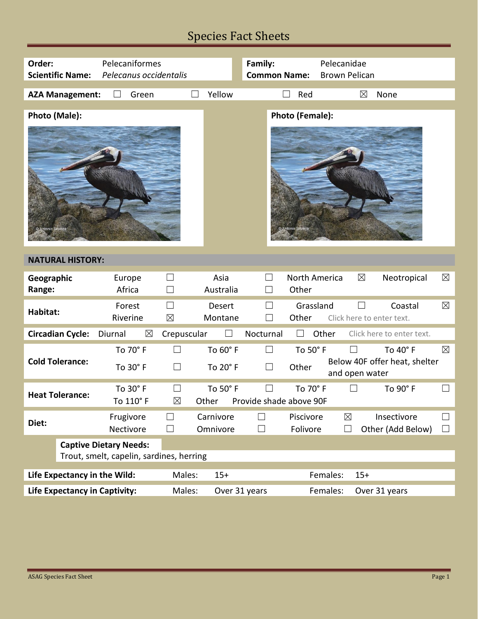## Species Fact Sheets

| Order:<br><b>Scientific Name:</b>        | Pelecaniformes<br>Pelecanus occidentalis               |                   | Family:<br><b>Common Name:</b> | Pelecanidae<br><b>Brown Pelican</b>               |             |  |  |
|------------------------------------------|--------------------------------------------------------|-------------------|--------------------------------|---------------------------------------------------|-------------|--|--|
|                                          |                                                        |                   |                                |                                                   |             |  |  |
| <b>AZA Management:</b>                   | Green                                                  | Yellow            | Red                            | ⊠<br>None                                         |             |  |  |
|                                          |                                                        |                   |                                |                                                   |             |  |  |
| Photo (Male):                            |                                                        |                   | Photo (Female):                |                                                   |             |  |  |
|                                          |                                                        |                   |                                |                                                   |             |  |  |
| <b>NATURAL HISTORY:</b>                  |                                                        |                   |                                |                                                   |             |  |  |
| Geographic<br>Europe<br>Range:           | $\vert \ \ \vert$<br>Africa<br>$\Box$                  | Asia<br>Australia | Other                          | $\boxtimes$<br>North America<br>Neotropical       | $\boxtimes$ |  |  |
| Habitat:                                 | Forest<br>$\vert \ \ \vert$<br>$\boxtimes$<br>Riverine | Desert<br>Montane | Other                          | Grassland<br>Coastal<br>Click here to enter text. | $\boxtimes$ |  |  |
| <b>Circadian Cycle:</b><br>Diurnal       | $\boxtimes$<br>Crepuscular                             |                   | Nocturnal                      | Other<br>Click here to enter text.                |             |  |  |
|                                          | To 70° F<br>П                                          | To 60° F          | $\Box$<br>To 50° F             | To 40° F<br>$\perp$                               | $\boxtimes$ |  |  |
| <b>Cold Tolerance:</b>                   | $\Box$<br>To 30° F                                     | To 20° F          | $\Box$<br>Other                | Below 40F offer heat, shelter<br>and open water   |             |  |  |
|                                          | To 30° F                                               | To 50° F          | To 70° F                       | To 90° F                                          |             |  |  |
| <b>Heat Tolerance:</b>                   | To 110° F<br>$\boxtimes$                               | Other             | Provide shade above 90F        |                                                   |             |  |  |
|                                          |                                                        | Carnivore         | Piscivore                      |                                                   |             |  |  |
| Diet:                                    | Frugivore                                              |                   |                                | $\boxtimes$<br>Insectivore                        |             |  |  |
|                                          | Nectivore<br>$\vert \ \ \vert$                         | Omnivore          | Folivore<br>$\mathcal{L}$      | Other (Add Below)<br>$\mathsf{L}$                 | H           |  |  |
| <b>Captive Dietary Needs:</b>            |                                                        |                   |                                |                                                   |             |  |  |
| Trout, smelt, capelin, sardines, herring |                                                        |                   |                                |                                                   |             |  |  |
|                                          |                                                        |                   |                                |                                                   |             |  |  |
| Life Expectancy in the Wild:             | Males:                                                 | $15+$             |                                | Females:<br>$15+$                                 |             |  |  |
| <b>Life Expectancy in Captivity:</b>     | Males:                                                 | Over 31 years     |                                | Females:<br>Over 31 years                         |             |  |  |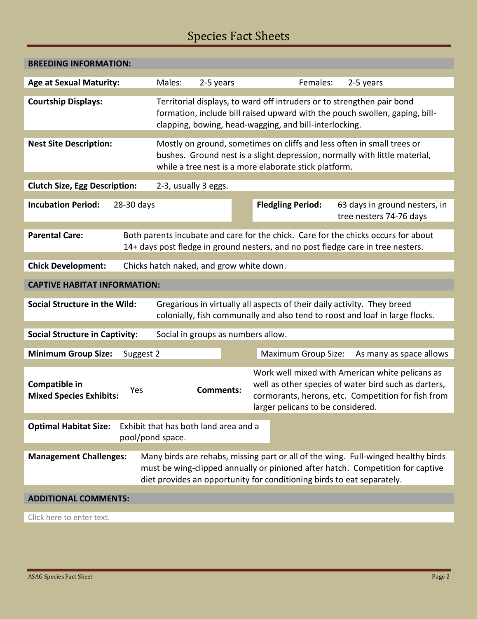## Species Fact Sheets

| <b>BREEDING INFORMATION:</b>                                                                                                                                                                                                                                                   |                      |           |                                                                                                                                  |                                                                                                                                                               |  |  |  |
|--------------------------------------------------------------------------------------------------------------------------------------------------------------------------------------------------------------------------------------------------------------------------------|----------------------|-----------|----------------------------------------------------------------------------------------------------------------------------------|---------------------------------------------------------------------------------------------------------------------------------------------------------------|--|--|--|
| <b>Age at Sexual Maturity:</b>                                                                                                                                                                                                                                                 | Males:               | 2-5 years | Females:                                                                                                                         | 2-5 years                                                                                                                                                     |  |  |  |
| <b>Courtship Displays:</b>                                                                                                                                                                                                                                                     |                      |           | Territorial displays, to ward off intruders or to strengthen pair bond<br>clapping, bowing, head-wagging, and bill-interlocking. | formation, include bill raised upward with the pouch swollen, gaping, bill-                                                                                   |  |  |  |
| <b>Nest Site Description:</b>                                                                                                                                                                                                                                                  |                      |           | while a tree nest is a more elaborate stick platform.                                                                            | Mostly on ground, sometimes on cliffs and less often in small trees or<br>bushes. Ground nest is a slight depression, normally with little material,          |  |  |  |
| <b>Clutch Size, Egg Description:</b>                                                                                                                                                                                                                                           | 2-3, usually 3 eggs. |           |                                                                                                                                  |                                                                                                                                                               |  |  |  |
| <b>Incubation Period:</b><br>28-30 days                                                                                                                                                                                                                                        |                      |           | <b>Fledgling Period:</b>                                                                                                         | 63 days in ground nesters, in<br>tree nesters 74-76 days                                                                                                      |  |  |  |
| <b>Parental Care:</b><br>Both parents incubate and care for the chick. Care for the chicks occurs for about<br>14+ days post fledge in ground nesters, and no post fledge care in tree nesters.                                                                                |                      |           |                                                                                                                                  |                                                                                                                                                               |  |  |  |
| <b>Chick Development:</b><br>Chicks hatch naked, and grow white down.                                                                                                                                                                                                          |                      |           |                                                                                                                                  |                                                                                                                                                               |  |  |  |
| <b>CAPTIVE HABITAT INFORMATION:</b>                                                                                                                                                                                                                                            |                      |           |                                                                                                                                  |                                                                                                                                                               |  |  |  |
| <b>Social Structure in the Wild:</b><br>Gregarious in virtually all aspects of their daily activity. They breed<br>colonially, fish communally and also tend to roost and loaf in large flocks.                                                                                |                      |           |                                                                                                                                  |                                                                                                                                                               |  |  |  |
| Social in groups as numbers allow.<br><b>Social Structure in Captivity:</b>                                                                                                                                                                                                    |                      |           |                                                                                                                                  |                                                                                                                                                               |  |  |  |
| <b>Minimum Group Size:</b><br>Suggest 2                                                                                                                                                                                                                                        |                      |           | <b>Maximum Group Size:</b>                                                                                                       | As many as space allows                                                                                                                                       |  |  |  |
| Compatible in<br>Yes<br><b>Mixed Species Exhibits:</b>                                                                                                                                                                                                                         |                      | Comments: | larger pelicans to be considered.                                                                                                | Work well mixed with American white pelicans as<br>well as other species of water bird such as darters,<br>cormorants, herons, etc. Competition for fish from |  |  |  |
| Exhibit that has both land area and a<br><b>Optimal Habitat Size:</b><br>pool/pond space.                                                                                                                                                                                      |                      |           |                                                                                                                                  |                                                                                                                                                               |  |  |  |
| Many birds are rehabs, missing part or all of the wing. Full-winged healthy birds<br><b>Management Challenges:</b><br>must be wing-clipped annually or pinioned after hatch. Competition for captive<br>diet provides an opportunity for conditioning birds to eat separately. |                      |           |                                                                                                                                  |                                                                                                                                                               |  |  |  |
| <b>ADDITIONAL COMMENTS:</b>                                                                                                                                                                                                                                                    |                      |           |                                                                                                                                  |                                                                                                                                                               |  |  |  |
| Click here to enter text.                                                                                                                                                                                                                                                      |                      |           |                                                                                                                                  |                                                                                                                                                               |  |  |  |
|                                                                                                                                                                                                                                                                                |                      |           |                                                                                                                                  |                                                                                                                                                               |  |  |  |